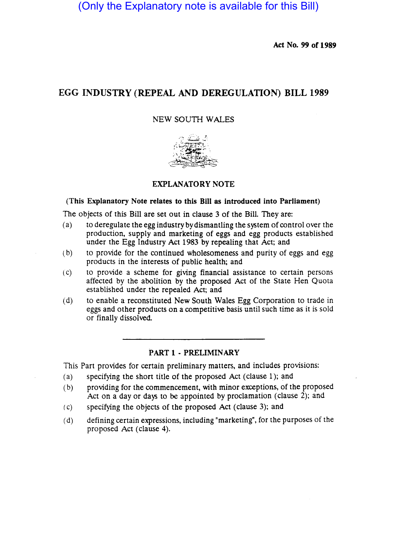(Only the Explanatory note is available for this Bill)

Act No. 99 of 1989

# EGG INDUSTRY (REPEAL AND DEREGULATION) BILL 1989

### NEW SOUTH WALES



#### EXPLANATORY NOTE

#### (This Explanatory Note relates to this Bill as introduced into Parliament)

The objects of this Bill are set out in clause 3 of the Bill. They are:

- $(a)$  to deregulate the egg industry by dismantling the system of control over the production, supply and marketing of eggs and egg products established under the Egg Industry Act 1983 by repealing that Act; and
- (b) to provide for the continued wholesomeness and purity of eggs and egg products in the interests of public health; and
- (c) to provide a scheme for giving financial assistance to certain persons affected by the abolition by the proposed Act of the State Hen Quota established under the repealed Act; and
- (d) to enable a reconstituted New South Wales Egg Corporation to trade in eggs and other products on a competitive basis until such time as it is sold or finally dissolved

#### PART 1 • PRELIMINARY

This Part provides for certain preliminary matters, and includes provisions:

- (a) specifying the short title of the proposed Act (clause 1); and
- Cb) providing for the commencement, with minor exceptions, of the proposed Act on a day or days to be appointed by proclamation (clause  $2$ ); and
- (c) specifying the Objects of the proposed Act (clause 3); and
- (d) defining certain expressions, including "marketing", for the purposes of the proposed Act (clause 4).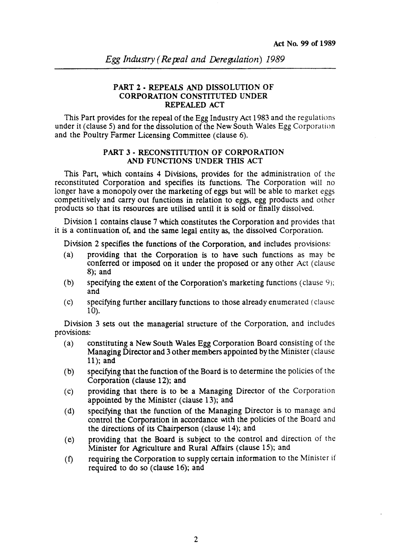### PART 2 • REPEALS AND DISSOLUTION OF CORPORATION CONSTITUTED UNDER REPEALED ACT

This Part provides for the repeal of the Egg Industry Act 1983 and the regulations under it (clause 5) and for the dissolution of the New South Wales Egg Corporation and the Poultry Farmer Licensing Committee (clause 6).

#### PART 3 - RECONSTITUTION OF CORPORATION AND FUNCTIONS UNDER THIS ACT

This Part, which contains 4 Divisions, provides for the administration of the reconstituted Corporation and specifies its functions. The Corporation will no longer have a monopoly over the marketing of eggs but will be able to market eggs competitively and carry out functions in relation to eggs, egg products and other products so that its resources are utilised until it is sold or finally dissolved.

Division 1 contains clause 7 which constitutes the Corporation and provides that it is a continuation of, and the same legal entity as, the dissolved Corporation.

Division 2 specifies the functions of the Corporation, and includes provisions:

- (a) providing that the Corporation is to have such functions as may be conferred or imposed on it under the proposed or any other Act (clause 8); and
- (b) specifying the extent of the Corporation's marketing functions (clause  $9$ ); and
- (c) specifying further ancillary functions to those already enumerated (cia use 10).

Division 3 sets out the managerial structure of the Corporation, and includes provisions:

- (a) constituting a New South Wales Egg Corporation Board consisting of the Managing Director and 3 other members appointed by the Minister (clause 11); and
- (b) specifying that the function of the Board is to determine the policies of the Corporation (clause 12); and
- (c) providing that there is to be a Managing Director of the Corporation appointed by the Minister (clause 13); and
- (d) specifying that the function of the Managing Director is to manage and control the Corporation in accordance with the policies of the Board and the directions of its Chairperson (clause 14); and
- (e) providing that the Board is subject to the control and direction of the Minister for Agriculture and Rural Affairs (clause 15); and
- (t) requiring the Corporation to supply certain information to the Minister if required to do so (clause 16); and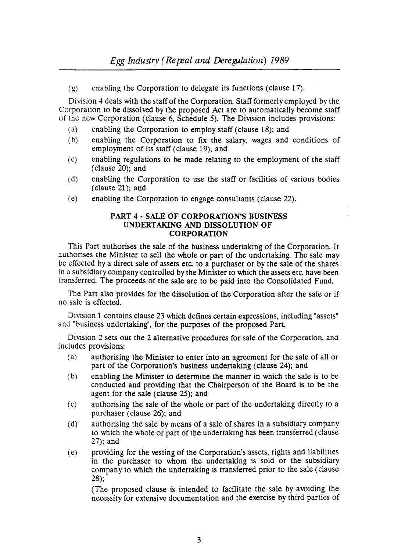(g) enabling the Corporation to delegate its functions (clause 17).

Division 4 deals with the staff of the Corporation. Staff formerly employed by the Corporation to be dissolved by the proposed Act are to automatically become staff of the new Corporation (clause 6, Schedule 5). The Division includes provisions:

- (a) enabling the Corporation to employ staff (clause 18); and
- Cb) enabling the Corporation to fix the salary, wages and conditions of employment of its staff (clause 19); and
- (c) enabling regulations to be made relating to the employment of the staff (clause 20); and
- (d) enabling the Corporation to use the staff or facilities of various bodies (clause 21); and
- (e) enabling the Corporation to engage consultants (clause 22).

#### PART 4 - SALE OF CORPORATION'S BUSINESS UNDERTAKING AND DISSOLUTION OF CORPORATION

This Part authorises the sale of the business undertaking of the Corporation. It authorises the Minister to sell the whole or part of the undertaking. The sale may be effected by a direct sale of assets etc. to a purchaser or by the sale of the shares in a subsidiary company controlled by the Minister to which the assets etc. have been transferred. The proceeds of the sale are to be paid into the Consolidated Fund.

The Part also provides for the dissolution of the Corporation after the sale or if no sale is effected.

Division 1 contains clause 23 which defines certain expressions, including "assets" and "business undertaking", for the purposes of the proposed Part.

Division 2 sets out the 2 alternative procedures for sale of the Corporation, and includes provisions:

- (a) authorising the Minister to enter into an agreement for the sale of all or part of the Corporation's business undertaking (clause 24); and
- (b) enabling the Minister to determine the manner in which the sale is to be conducted and providing that the Chairperson of the Board is to be the agent for the sale (clause 25); and
- (c) authorising the sale of the whole or part of the undertaking directly to a purchaser (clause 26); and
- (d) authorising the sale by means of a sale of shares in a subsidiary company to which the whole or part of the undertaking has been transferred (clause 27); and
- (e) providing for the vesting of the Corporation's assets, rights and liabilities in the purchaser to whom the undertaking is sold or the subsidiary company to which the undertaking is transferred prior to the sale (clause 28);

(The proposed clause is intended to facilitate the sale by avoiding the necessity for extensive documentation and the exercise by third parties of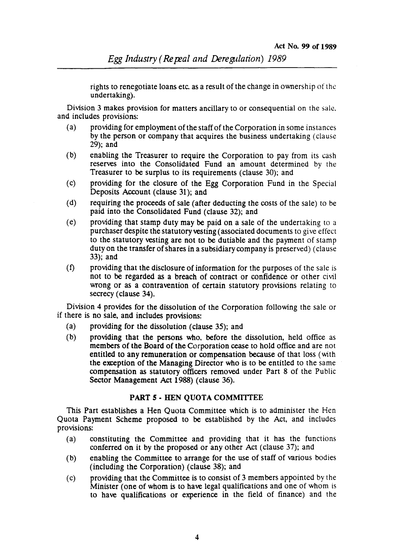rights to renegotiate loans etc. as a result of the change in ownership of the undertaking).

Division 3 makes provision for matters ancillary to or consequential on the sale, and includes provisions:

- (a) providing for employment of the staff of the Corporation in some ins tances by the person or company that acquires the business undertaking (clause 29); and
- (b) enabling the Treasurer to require the Corporation to pay from its cash reserves into the Consolidated Fund an amount determined by the Treasurer to be surplus to its requirements (clause 30); and
- (c) providing for the closure of the Egg Corporation Fund in the Special Deposits Account (clause 31); and
- (d) requiring the proceeds of sale (after deducting the costs of the sale) to be paid into the Consolidated Fund (clause 32); and
- (e) providing that stamp duty may be paid on a sale of the undertaking to a purchaser despite the statutory vesting (associated documents to give effect to the statutory vesting are not to be dutiable and the payment of stamp duty on the transfer of shares in a subsidiary company is preserved) (clause 33); and
- (f) providing that the disclosure of information for the purposes of the sale is not to be regarded as a breach of contract or confidence or other civil wrong or as a contravention of certain statutory provisions relating to secrecy (clause 34).

Division 4 provides for the dissolution of the Corporation following the sale or if there is no sale, and includes provisions:

- (a) providing for the dissolution (clause 35); and
- (b) providing that the persons who, before the dissolution, held office as members of the Board of the Corporation cease to hold office and are not entitled to any remuneration or compensation because of that loss (with the exception of the Managing Director who is to be entitled to the same compensation as statutory officers removed under Part 8 of the Public Sector Management Act 1988) (clause 36).

#### **PART** *s·* HEN QUOTA COMMITTEE

This Part establishes a Hen Quota Committee which is to administer the Hen Quota Payment Scheme proposed to be established by the Act, and includes provisions:

- (a) constituting the Committee and providing that it has the functions conferred on it by the proposed or any other Act (clause 37); and
- (b) enabling the Committee to arrange for the use of staff of various bodies (including the Corporation) (clause 38); and
- (c) providing that the Committee is to consist of 3 members appointed by the Minister (one of whom is to have legal qualifications and one of whom is to have qualifications or experience in the field of finance) and the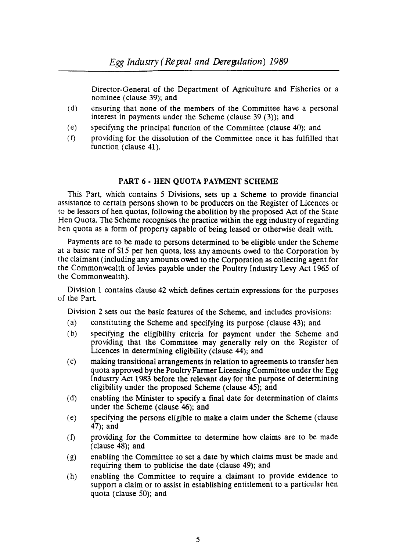Director-General of the Department of Agriculture and Fisheries or a nominee (clause 39); and

- (d) ensuring that none of the members of the Committee have a personal interest in payments under the Scheme (clause 39  $(3)$ ); and
- (e) specifying the principal function of the Committee (clause 40); and
- (f) providing for the dissolution of the Committee once it has fulfilled that function (clause 41).

#### PART 6 • HEN QUOTA PAYMENT SCHEME

This Part, which contains 5 Divisions, sets up a Scheme to provide financial assistance to certain persons shown to be producers on the Register of Licences or to be lessors of hen quotas, following the abolition by the proposed Act of the State Hen Quota. The Scheme recognises the practice within the egg industry of regarding hen quota as a form of property capable of being leased or otherwise dealt with.

Payments are to be made to persons determined to be eligible under the Scheme at a basic rate of \$15 per hen quota, less any amounts owed to the Corporation by the claimant (including any amounts owed to the Corporation as collecting agent for the Commonwealth of levies payable under the Poultry Industry Levy Act 1965 of the Commonwealth).

Division 1 contains clause 42 which defines certain expressions for the purposes of the Part.

Division 2 sets out the basic features of the Scheme, and includes provisions:

- (a) constituting the Scheme and specifying its purpose (clause 43); and
- (b) specifying the eligibility criteria for payment under the Scheme and providing that the Committee may generally rely on the Register of Licences in determining eligibility (clause 44); and
- (c) making transitional arrangements in relation to agreements to transfer hen quota approved by the Poultry Farmer Licensing Committee under the Egg Industry Act 1983 before the relewnt day for the purpose of determining eligibility under the proposed Scheme (clause 45); and
- (d) enabling the Minister to specify a final date for determination of claims under the Scheme (clause 46); and
- (e) specifying the persons eligible to make a claim under the Scheme (clause 47); and
- (f) providing for the Committee to determine how claims are to be made  $(c$ lause  $\overline{48}$ ; and
- (g) enabling the Committee to set a date by which claims must be made and requiring them to publicise the date (clause 49); and
- (h) enabling the Committee to require a claimant to provide evidence to support a claim or to assist in establishing entitlement to a particular hen quota (clause 50); and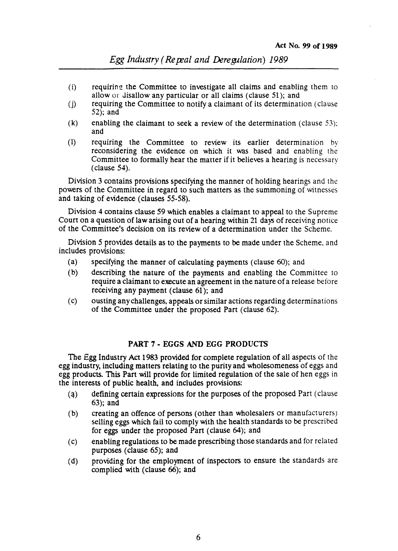- $(i)$  requiring the Committee to investigate all claims and enabling them to allow  $or$  disallow any particular or all claims (clause 51); and
- (j) requiring the Committee to notify a claimant of its determination (clause 52); and
- (k) enabling the claimant to seek a review of the determination (clause  $53$ ); and
- (1) requiring the Committee to review its earlier determination by reconsidering the evidence on which it was based and enabling the Committee to formally hear the matter if it believes a hearing is necessary (clause 54).

Division 3 contains provisions specifying the manner of holding hearings and the powers of the Committee in regard to such matters as the summoning of witnesses and taking of evidence (clauses 55-58).

Division 4 contains clause 59 which enables a claimant to appeal to the Supreme Court on a question of law arising out of a hearing within 21 days of receiving notice of the Committee's decision on its review of a determination under the Scheme.

Division 5 provides details as to the payments to be made under the Scheme, and includes provisions:

- (a) specifying the manner of calculating payments (clause 60); and
- (b) describing the nature of the payments and enabling the Committee to require a claimant to execute an agreement in the nature of a release before receiving any payment (clause 61); and
- (c) ousting any challenges. appeals or similar actions regarding determinations of the Committee under the proposed Part (clause 62).

#### PART 7 - EGGS AND EGG PRODUCTS

The Egg Industry Act 1983 provided for complete regulation of all aspects of the egg industry, including matters relating to the purity and wholesomeness of eggs and egg products. This Part will provide for limited regulation of the sale of hen eggs in the interests of public health. and includes provisions:

- $(a)$  defining certain expressions for the purposes of the proposed Part (clause 63); and
- (b) creating an offence of persons (other than wholesalers or manufacturers) selling eggs which fail to comply with the health standards to be prescribed for eggs under the proposed Part (clause 64); and
- (c) enabling regulations to be made prescribing those standards and for related purposes (clause 65); and
- (d) providing for the employment of inspectors to ensure the standards are complied with (clause 66); and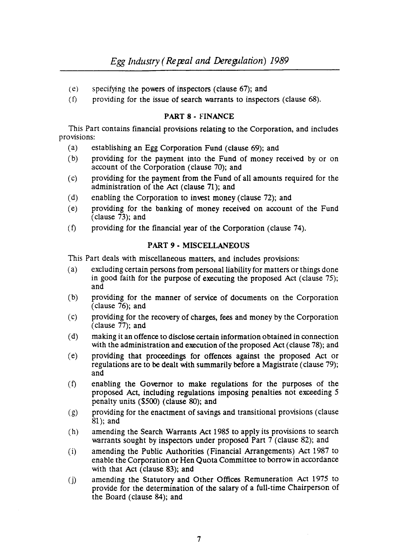- (e) specifying the powers of inspectors (clause 67); and
- $(f)$  providing for the issue of search warrants to inspectors (clause 68).

### PART 8 • FINANCE

This Part contains financial provisions relating to the Corporation, and includes provisions:

- (a) establishing an Egg Corporation Fund (clause 69); and
- (b) providing for the payment into the Fund of money received by or on account of the Corporation (clause 70); and
- (c) providing for the payment from the Fund of all amounts required for the administration of the Act (clause 71); and
- (d) enabling the Corporation to invest money (clause 72); and
- (e) providing for the banking of money received on account of the Fund (clause 73); and
- (t) providing for the financial year of the Corporation (clause 74).

## PART 9 • MISCELLANEOUS

This Part deals with miscellaneous matters, and includes provisions:

- (a) excluding certain persons from personal liability for matters or things done in good faith for the purpose of executing the proposed Act (clause 75); and
- (b) providing for the manner of service of documents on the Corporation (clause  $76$ ); and
- (c) providing for the recovery of charges, fees and money by the Corporation (clause 77); and
- (d) making it an offence to disclose certain information obtained in connection with the administration and execution of the proposed Act (clause 78); and
- (e) providing that proceedings for offences against the proposed Act or regulations are to be dealt with summarily before a Magistrate (clause 79); and
- (t) enabling the Governor to make regulations for the purposes of the proposed Act, including regulations imposing penalties not exceeding 5 penalty units (\$500) (clause SO); and
- (g) providing for the enactment of savings and transitional provisions (clause 81); and
- (h) amending the Search Warrants Act 1985 to apply its provisions to search warrants sought by inspectors under proposed Part 7 (clause 82); and
- (i) amending the Public Authorities (Financial Arrangements) Act 1987 to enable the Corporation or Hen Quota Committee to borrow in accordance with that Act (clause 83); and
- (j) amending the Statutory and Other Offices Remuneration Act 1975 to provide for the determination of the salary of a full· time Chairperson of the Board (clause 84); and